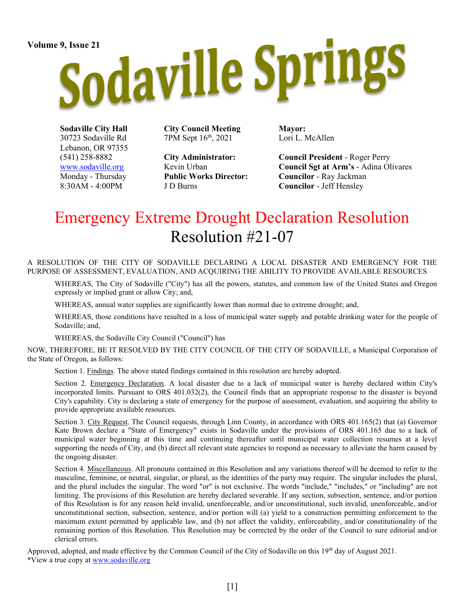# Volume 9, Issue 21<br>Sodaville Springs

Sodaville City Hall 30723 Sodaville Rd Lebanon, OR 97355 (541) 258-8882 www.sodaville.org Monday - Thursday 8:30AM - 4:00PM

City Council Meeting 7PM Sept 16th, 2021

City Administrator: Kevin Urban Public Works Director: J D Burns

Mayor: Lori L. McAllen

Council President - Roger Perry Council Sgt at Arm's - Adina Olivares Councilor - Ray Jackman Councilor - Jeff Hensley

# Emergency Extreme Drought Declaration Resolution Resolution #21-07

A RESOLUTION OF THE CITY OF SODAVILLE DECLARING A LOCAL DISASTER AND EMERGENCY FOR THE PURPOSE OF ASSESSMENT, EVALUATION, AND ACQUIRING THE ABILITY TO PROVIDE AVAILABLE RESOURCES

WHEREAS, The City of Sodaville ("City") has all the powers, statutes, and common law of the United States and Oregon expressly or implied grant or allow City; and,

WHEREAS, annual water supplies are significantly lower than normal due to extreme drought; and,

WHEREAS, those conditions have resulted in a loss of municipal water supply and potable drinking water for the people of Sodaville; and,

WHEREAS, the Sodaville City Council ("Council") has

NOW, THEREFORE, BE IT RESOLVED BY THE CITY COUNCIL OF THE CITY OF SODAVILLE, a Municipal Corporation of the State of Oregon, as follows:

Section 1. Findings. The above stated findings contained in this resolution are hereby adopted.

Section 2. Emergency Declaration. A local disaster due to a lack of municipal water is hereby declared within City's incorporated limits. Pursuant to ORS 401.032(2), the Council finds that an appropriate response to the disaster is beyond City's capability. City is declaring a state of emergency for the purpose of assessment, evaluation, and acquiring the ability to provide appropriate available resources.

Section 3. City Request. The Council requests, through Linn County, in accordance with ORS 401.165(2) that (a) Governor Kate Brown declare a "State of Emergency" exists in Sodaville under the provisions of ORS 401.165 due to a lack of municipal water beginning at this time and continuing thereafter until municipal water collection resumes at a level supporting the needs of City, and (b) direct all relevant state agencies to respond as necessary to alleviate the harm caused by the ongoing disaster.

Section 4. Miscellaneous. All pronouns contained in this Resolution and any variations thereof will be deemed to refer to the masculine, feminine, or neutral, singular, or plural, as the identities of the party may require. The singular includes the plural, and the plural includes the singular. The word "or" is not exclusive. The words "include," "includes," or "including" are not limiting. The provisions of this Resolution are hereby declared severable. If any section, subsection, sentence, and/or portion of this Resolution is for any reason held invalid, unenforceable, and/or unconstitutional, such invalid, unenforceable, and/or unconstitutional section, subsection, sentence, and/or portion will (a) yield to a construction permitting enforcement to the maximum extent permitted by applicable law, and (b) not affect the validity, enforceability, and/or constitutionality of the remaining portion of this Resolution. This Resolution may be corrected by the order of the Council to sure editorial and/or clerical errors.

Approved, adopted, and made effective by the Common Council of the City of Sodaville on this 19<sup>th</sup> day of August 2021. \*View a true copy at www.sodaville.org